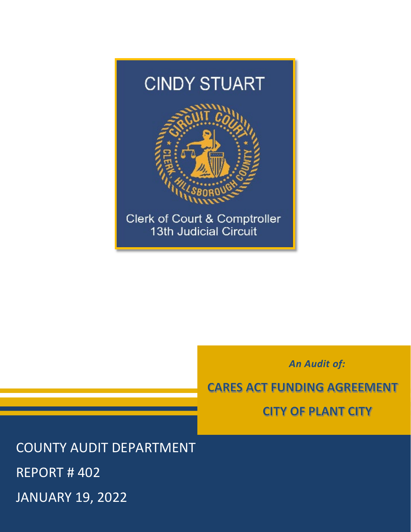

*An Audit of:* 

CARES ACT FUNDING AGREEMENT

CITY Of PlANT CITY

 REPORT # 402 COUNTY AUDIT DEPARTMENT JANUARY 19, 2022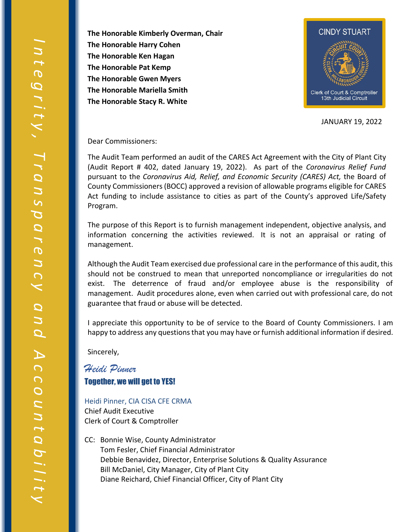**The Honorable Harry Cohen The Honorable Kimberly Overman, Chair The Honorable Ken Hagan The Honorable Pat Kemp The Honorable Gwen Myers The Honorable Mariella Smith The Honorable Stacy R. White** 



JANUARY 19, 2022

Dear Commissioners:

 (Audit Report # 402, dated January 19, 2022). As part of the *Coronavirus Relief Fund*  pursuant to the *Coronavirus Aid, Relief, and Economic Security (CARES) Act,* the Board of The Audit Team performed an audit of the CARES Act Agreement with the City of Plant City County Commissioners (BOCC) approved a revision of allowable programs eligible for CARES Act funding to include assistance to cities as part of the County's approved Life/Safety Program.

 information concerning the activities reviewed. It is not an appraisal or rating of management. The purpose of this Report is to furnish management independent, objective analysis, and

management.<br>Although the Audit Team exercised due professional care in the performance of this audit, this exist. The deterrence of fraud and/or employee abuse is the responsibility of management. Audit procedures alone, even when carried out with professional care, do not guarantee that fraud or abuse will be detected. should not be construed to mean that unreported noncompliance or irregularities do not

 happy to address any questions that you may have or furnish additional information if desired. I appreciate this opportunity to be of service to the Board of County Commissioners. I am

Sincerely,

## *Heidi Pinner*  Together, we will get to YES!

- Heidi Pinner, CIA CISA CFE CRMA Chief Audit Executive Clerk of Court & Comptroller
- CC: Bonnie Wise, County Administrator Tom Fesler, Chief Financial Administrator Debbie Benavidez, Director, Enterprise Solutions & Quality Assurance Bill McDaniel, City Manager, City of Plant City Diane Reichard, Chief Financial Officer, City of Plant City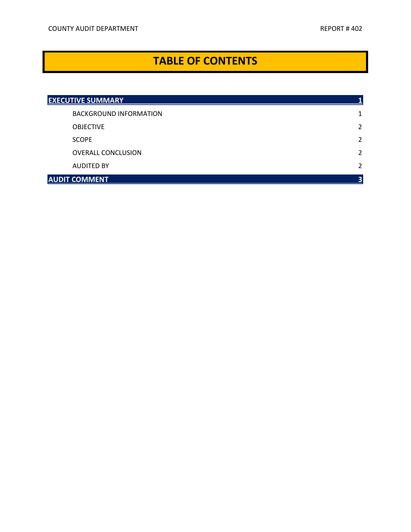# **TABLE OF CONTENTS TABLE OF CONTENTS**

| <b>EXECUTIVE SUMMARY</b>      |                |
|-------------------------------|----------------|
| <b>BACKGROUND INFORMATION</b> |                |
| <b>OBJECTIVE</b>              | 2              |
| <b>SCOPE</b>                  | 2              |
| <b>OVERALL CONCLUSION</b>     | $\overline{2}$ |
| <b>AUDITED BY</b>             | $\overline{2}$ |
| <b>AUDIT COMMENT</b>          | 3              |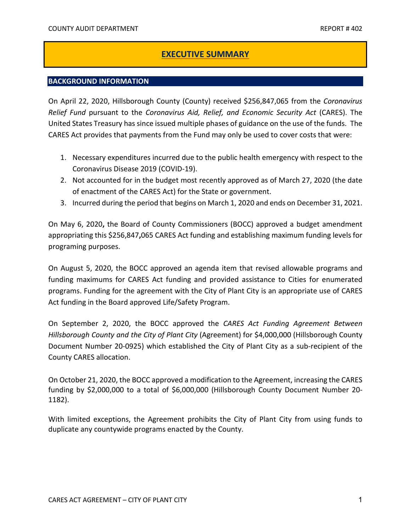## **EXECUTIVE SUMMARY**

#### **BACKGROUND INFORMATION**

 United States Treasury has since issued multiple phases of guidance on the use of the funds. The CARES Act provides that payments from the Fund may only be used to cover costs that were: On April 22, 2020, Hillsborough County (County) received \$256,847,065 from the *Coronavirus Relief Fund* pursuant to the *Coronavirus Aid, Relief, and Economic Security Act* (CARES). The

- 1. Necessary expenditures incurred due to the public health emergency with respect to the Coronavirus Disease 2019 (COVID-19).
- of enactment of the CARES Act) for the State or government. 2. Not accounted for in the budget most recently approved as of March 27, 2020 (the date
- 3. Incurred during the period that begins on March 1, 2020 and ends on December 31, 2021.

 appropriating this \$256,847**,**065 CARES Act funding and establishing maximum funding levels for On May 6, 2020**,** the Board of County Commissioners (BOCC) approved a budget amendment programing purposes.

 On August 5, 2020, the BOCC approved an agenda item that revised allowable programs and funding maximums for CARES Act funding and provided assistance to Cities for enumerated programs. Funding for the agreement with the City of Plant City is an appropriate use of CARES Act funding in the Board approved Life/Safety Program.

On September 2, 2020, the BOCC approved the *CARES Act Funding Agreement Between Hillsborough County and the City of Plant City* (Agreement) for \$4,000,000 (Hillsborough County Document Number 20-0925) which established the City of Plant City as a sub-recipient of the County CARES allocation.

 On October 21, 2020, the BOCC approved a modification to the Agreement, increasing the CARES funding by \$2,000,000 to a total of \$6,000,000 (Hillsborough County Document Number 20- 1182).

 With limited exceptions, the Agreement prohibits the City of Plant City from using funds to duplicate any countywide programs enacted by the County.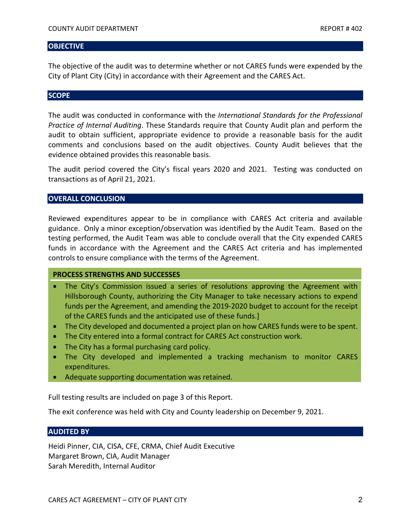#### **OBJECTIVE**

 The objective of the audit was to determine whether or not CARES funds were expended by the City of Plant City (City) in accordance with their Agreement and the CARES Act.

#### **SCOPE**

The audit was conducted in conformance with the *International Standards for the Professional Practice of Internal Auditing*. These Standards require that County Audit plan and perform the audit to obtain sufficient, appropriate evidence to provide a reasonable basis for the audit comments and conclusions based on the audit objectives. County Audit believes that the evidence obtained provides this reasonable basis.

 transactions as of April 21, 2021. The audit period covered the City's fiscal years 2020 and 2021. Testing was conducted on

#### **OVERALL CONCLUSION**

 Reviewed expenditures appear to be in compliance with CARES Act criteria and available guidance. Only a minor exception/observation was identified by the Audit Team. Based on the testing performed, the Audit Team was able to conclude overall that the City expended CARES controls to ensure compliance with the terms of the Agreement. funds in accordance with the Agreement and the CARES Act criteria and has implemented

#### **PROCESS STRENGTHS AND SUCCESSES**

- Hillsborough County, authorizing the City Manager to take necessary actions to expend • The City's Commission issued a series of resolutions approving the Agreement with funds per the Agreement, and amending the 2019-2020 budget to account for the receipt of the CARES funds and the anticipated use of these funds.]
- The City developed and documented a project plan on how CARES funds were to be spent.
- The City entered into a formal contract for CARES Act construction work.
- The City has a formal purchasing card policy.
- • The City developed and implemented a tracking mechanism to monitor CARES expenditures.
- Adequate supporting documentation was retained.

Full testing results are included on page 3 of this Report.

The exit conference was held with City and County leadership on December 9, 2021.

#### **AUDITED BY**

 Margaret Brown, CIA, Audit Manager Heidi Pinner, CIA, CISA, CFE, CRMA, Chief Audit Executive Sarah Meredith, Internal Auditor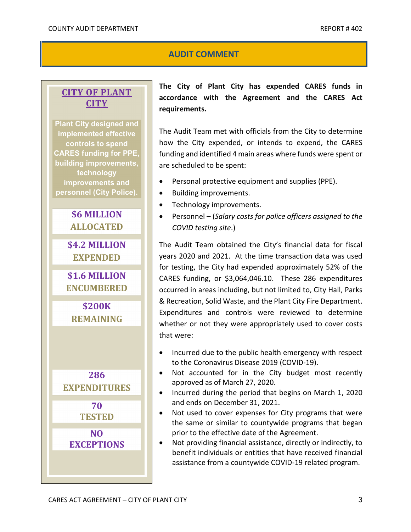## **AUDIT COMMENT**

## **CITY OF PLANT CITY**

 **improvements and Plant City designed and implemented effective controls to spend CARES funding for PPE, building improvements, technology personnel (City Police).** 



**NO EXCEPTIONS** 

 **requirements. The City of Plant City has expended CARES funds in accordance with the Agreement and the CARES Act** 

 The Audit Team met with officials from the City to determine how the City expended, or intends to expend, the CARES funding and identified 4 main areas where funds were spent or are scheduled to be spent:

- Personal protective equipment and supplies (PPE).
- Building improvements.
- Technology improvements.
- Personnel (*Salary costs for police officers assigned to the COVID testing site*.)

 The Audit Team obtained the City's financial data for fiscal for testing, the City had expended approximately 52% of the CARES funding, or \$3,064,046.10. These 286 expenditures & Recreation, Solid Waste, and the Plant City Fire Department. whether or not they were appropriately used to cover costs that were: years 2020 and 2021. At the time transaction data was used occurred in areas including, but not limited to, City Hall, Parks Expenditures and controls were reviewed to determine

- • Incurred due to the public health emergency with respect to the Coronavirus Disease 2019 (COVID-19).
- • Not accounted for in the City budget most recently approved as of March 27, 2020.
- • Incurred during the period that begins on March 1, 2020 and ends on December 31, 2021.
- • Not used to cover expenses for City programs that were the same or similar to countywide programs that began prior to the effective date of the Agreement.
- benefit individuals or entities that have received financial • Not providing financial assistance, directly or indirectly, to assistance from a countywide COVID-19 related program.